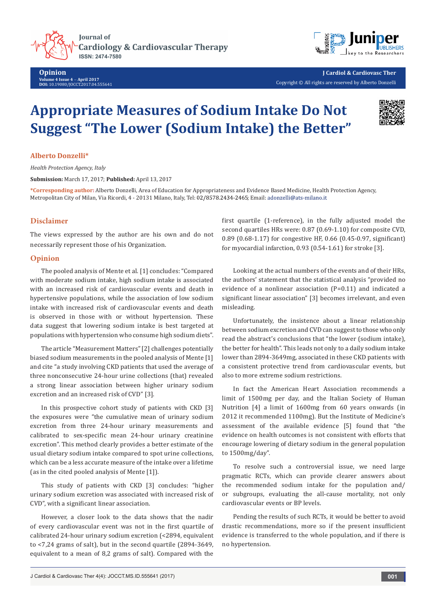**Journal of Cardiology & Cardiovascular Therapy ISSN: 2474-7580** 

**Opinion Volume 4 Issue 4** - **April 2017 DOI:** 10.19080/JOCCT.2017.04.555641



**J Cardiol & Cardiovasc Ther** Copyright © All rights are reserved by Alberto Donzelli

# **Appropriate Measures of Sodium Intake Do Not Suggest "The Lower (Sodium Intake) the Better"**



#### **Alberto Donzelli\***

*Health Protection Agency, Italy*

**Submission:** March 17, 2017; **Published:** April 13, 2017

**\*Corresponding author:** Alberto Donzelli, Area of Education for Appropriateness and Evidence Based Medicine, Health Protection Agency, Metropolitan City of Milan, Via Ricordi, 4 - 20131 Milano, Italy, Tel: 02/8578.2434-2465; Email: adonzelli@ats-milano.it

## **Disclaimer**

The views expressed by the author are his own and do not necessarily represent those of his Organization.

#### **Opinion**

The pooled analysis of Mente et al. [1] concludes: "Compared with moderate sodium intake, high sodium intake is associated with an increased risk of cardiovascular events and death in hypertensive populations, while the association of low sodium intake with increased risk of cardiovascular events and death is observed in those with or without hypertension. These data suggest that lowering sodium intake is best targeted at populations with hypertension who consume high sodium diets".

The article "Measurement Matters" [2] challenges potentially biased sodium measurements in the pooled analysis of Mente [1] and cite "a study involving CKD patients that used the average of three nonconsecutive 24-hour urine collections (that) revealed a strong linear association between higher urinary sodium excretion and an increased risk of CVD" [3].

In this prospective cohort study of patients with CKD [3] the exposures were "the cumulative mean of urinary sodium excretion from three 24-hour urinary measurements and calibrated to sex-specific mean 24-hour urinary creatinine excretion". This method clearly provides a better estimate of the usual dietary sodium intake compared to spot urine collections, which can be a less accurate measure of the intake over a lifetime (as in the cited pooled analysis of Mente [1]).

This study of patients with CKD [3] concludes: "higher urinary sodium excretion was associated with increased risk of CVD", with a significant linear association.

However, a closer look to the data shows that the nadir of every cardiovascular event was not in the first quartile of calibrated 24-hour urinary sodium excretion (<2894, equivalent to <7,24 grams of salt), but in the second quartile (2894-3649, equivalent to a mean of 8,2 grams of salt). Compared with the

first quartile (1-reference), in the fully adjusted model the second quartiles HRs were: 0.87 (0.69-1.10) for composite CVD, 0.89 (0.68-1.17) for congestive HF, 0.66 (0.45-0.97, significant) for myocardial infarction, 0.93 (0.54-1.61) for stroke [3].

Looking at the actual numbers of the events and of their HRs, the authors' statement that the statistical analysis "provided no evidence of a nonlinear association (P=0.11) and indicated a significant linear association" [3] becomes irrelevant, and even misleading.

Unfortunately, the insistence about a linear relationship between sodium excretion and CVD can suggest to those who only read the abstract's conclusions that "the lower (sodium intake), the better for health". This leads not only to a daily sodium intake lower than 2894-3649mg, associated in these CKD patients with a consistent protective trend from cardiovascular events, but also to more extreme sodium restrictions.

In fact the American Heart Association recommends a limit of 1500mg per day, and the Italian Society of Human Nutrition [4] a limit of 1600mg from 60 years onwards (in 2012 it recommended 1100mg). But the Institute of Medicine's assessment of the available evidence [5] found that "the evidence on health outcomes is not consistent with efforts that encourage lowering of dietary sodium in the general population to 1500mg/day".

To resolve such a controversial issue, we need large pragmatic RCTs, which can provide clearer answers about the recommended sodium intake for the population and/ or subgroups, evaluating the all-cause mortality, not only cardiovascular events or BP levels.

Pending the results of such RCTs, it would be better to avoid drastic recommendations, more so if the present insufficient evidence is transferred to the whole population, and if there is no hypertension.